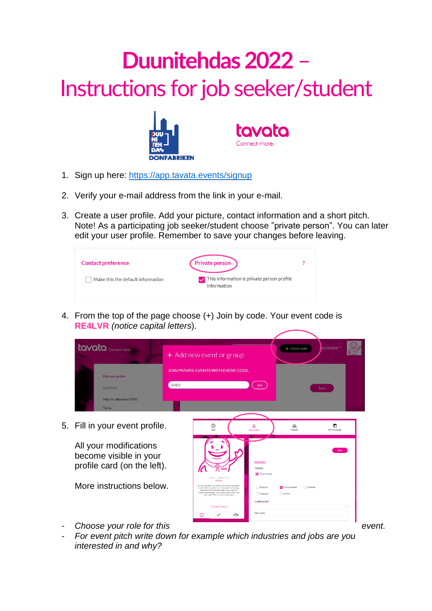## **Duunitehdas 2022** – Instructions for job seeker/student



- 1. Sign up here:<https://app.tavata.events/>signup
- 2. Verify your e-mail address from the link in your e-mail.
- 3. Create a user profile. Add your picture, contact information and a short pitch. Note! As a participating job seeker/student choose "private person". You can later edit your user profile. Remember to save your changes before leaving.



4. From the top of the page choose (+) Join by code. Your event code is **RE4LVR** *(notice capital letters*).



5. Fill in your event profile.

All your modifications become visible in your profile card (on the left).

More instructions below.



- **Choose your role for this event.** Event.
- *For event pitch write down for example which industries and jobs are you interested in and why?*